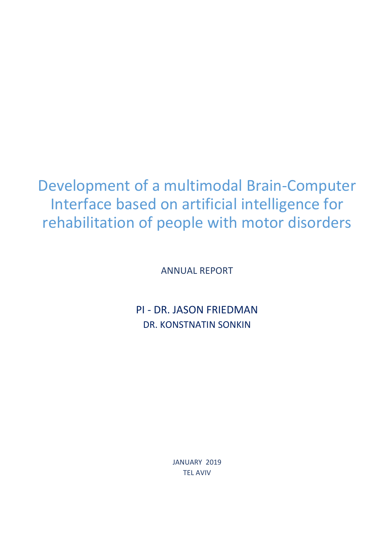Development of a multimodal Brain-Computer Interface based on artificial intelligence for rehabilitation of people with motor disorders

ANNUAL REPORT

PI - DR. JASON FRIEDMAN DR. KONSTNATIN SONKIN

> JANUARY 2019 TEL AVIV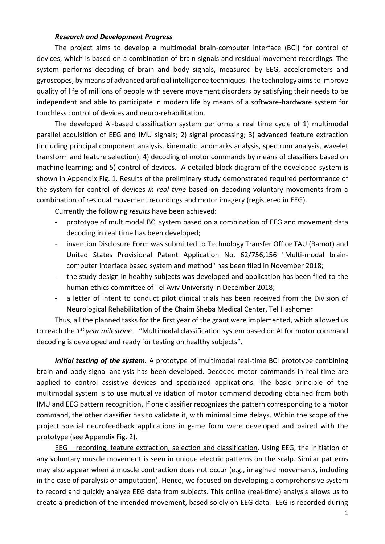## *Research and Development Progress*

The project aims to develop a multimodal brain-computer interface (BCI) for control of devices, which is based on a combination of brain signals and residual movement recordings. The system performs decoding of brain and body signals, measured by EEG, accelerometers and gyroscopes, by means of advanced artificial intelligence techniques. The technology aims to improve quality of life of millions of people with severe movement disorders by satisfying their needs to be independent and able to participate in modern life by means of a software-hardware system for touchless control of devices and neuro-rehabilitation.

The developed AI-based classification system performs a real time cycle of 1) multimodal parallel acquisition of EEG and IMU signals; 2) signal processing; 3) advanced feature extraction (including principal component analysis, kinematic landmarks analysis, spectrum analysis, wavelet transform and feature selection); 4) decoding of motor commands by means of classifiers based on machine learning; and 5) control of devices. A detailed block diagram of the developed system is shown in Appendix Fig. 1. Results of the preliminary study demonstrated required performance of the system for control of devices *in real time* based on decoding voluntary movements from a combination of residual movement recordings and motor imagery (registered in EEG).

Currently the following *results* have been achieved:

- prototype of multimodal BCI system based on a combination of EEG and movement data decoding in real time has been developed;
- invention Disclosure Form was submitted to Technology Transfer Office TAU (Ramot) and United States Provisional Patent Application No. 62/756,156 "Multi-modal braincomputer interface based system and method" has been filed in November 2018;
- the study design in healthy subjects was developed and application has been filed to the human ethics committee of Tel Aviv University in December 2018;
- a letter of intent to conduct pilot clinical trials has been received from the Division of Neurological Rehabilitation of the Chaim Sheba Medical Center, Tel Hashomer

Thus, all the planned tasks for the first year of the grant were implemented, which allowed us to reach the 1<sup>st</sup> year milestone – "Multimodal classification system based on AI for motor command decoding is developed and ready for testing on healthy subjects".

*Initial testing of the system.* A prototype of multimodal real-time BCI prototype combining brain and body signal analysis has been developed. Decoded motor commands in real time are applied to control assistive devices and specialized applications. The basic principle of the multimodal system is to use mutual validation of motor command decoding obtained from both IMU and EEG pattern recognition. If one classifier recognizes the pattern corresponding to a motor command, the other classifier has to validate it, with minimal time delays. Within the scope of the project special neurofeedback applications in game form were developed and paired with the prototype (see Appendix Fig. 2).

EEG – recording, feature extraction, selection and classification. Using EEG, the initiation of any voluntary muscle movement is seen in unique electric patterns on the scalp. Similar patterns may also appear when a muscle contraction does not occur (e.g., imagined movements, including in the case of paralysis or amputation). Hence, we focused on developing a comprehensive system to record and quickly analyze EEG data from subjects. This online (real-time) analysis allows us to create a prediction of the intended movement, based solely on EEG data. EEG is recorded during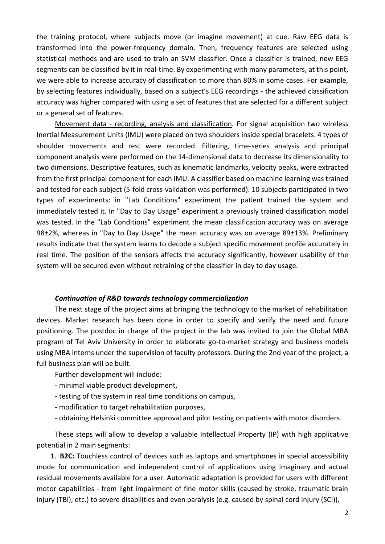the training protocol, where subjects move (or imagine movement) at cue. Raw EEG data is transformed into the power-frequency domain. Then, frequency features are selected using statistical methods and are used to train an SVM classifier. Once a classifier is trained, new EEG segments can be classified by it in real-time. By experimenting with many parameters, at this point, we were able to increase accuracy of classification to more than 80% in some cases. For example, by selecting features individually, based on a subject's EEG recordings - the achieved classification accuracy was higher compared with using a set of features that are selected for a different subject or a general set of features.

Movement data - recording, analysis and classification*.* For signal acquisition two wireless Inertial Measurement Units (IMU) were placed on two shoulders inside special bracelets. 4 types of shoulder movements and rest were recorded. Filtering, time-series analysis and principal component analysis were performed on the 14-dimensional data to decrease its dimensionality to two dimensions. Descriptive features, such as kinematic landmarks, velocity peaks, were extracted from the first principal component for each IMU. A classifier based on machine learning was trained and tested for each subject (5-fold cross-validation was performed). 10 subjects participated in two types of experiments: in "Lab Conditions" experiment the patient trained the system and immediately tested it. In "Day to Day Usage" experiment a previously trained classification model was tested. In the "Lab Conditions" experiment the mean classification accuracy was on average 98±2%, whereas in "Day to Day Usage" the mean accuracy was on average 89±13%. Preliminary results indicate that the system learns to decode a subject specific movement profile accurately in real time. The position of the sensors affects the accuracy significantly, however usability of the system will be secured even without retraining of the classifier in day to day usage.

## *Continuation of R&D towards technology commercialization*

The next stage of the project aims at bringing the technology to the market of rehabilitation devices. Market research has been done in order to specify and verify the need and future positioning. The postdoc in charge of the project in the lab was invited to join the Global MBA program of Tel Aviv University in order to elaborate go-to-market strategy and business models using MBA interns under the supervision of faculty professors. During the 2nd year of the project, a full business plan will be built.

Further development will include:

- minimal viable product development,
- testing of the system in real time conditions on campus,
- modification to target rehabilitation purposes,
- obtaining Helsinki committee approval and pilot testing on patients with motor disorders.

These steps will allow to develop a valuable Intellectual Property (IP) with high applicative potential in 2 main segments:

1. **B2C:** Touchless control of devices such as laptops and smartphones in special accessibility mode for communication and independent control of applications using imaginary and actual residual movements available for a user. Automatic adaptation is provided for users with different motor capabilities - from light impairment of fine motor skills (caused by stroke, traumatic brain injury (TBI), etc.) to severe disabilities and even paralysis (e.g. caused by spinal cord injury (SCI)).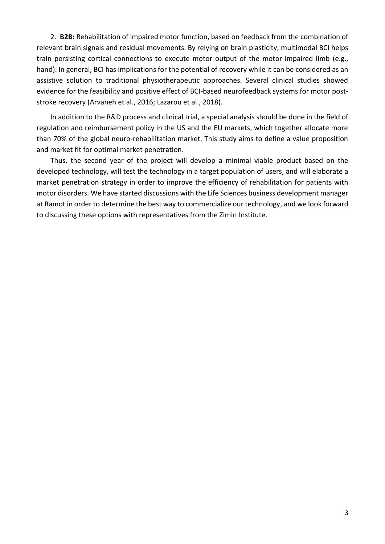2. **B2B:** Rehabilitation of impaired motor function, based on feedback from the combination of relevant brain signals and residual movements. By relying on brain plasticity, multimodal BCI helps train persisting cortical connections to execute motor output of the motor-impaired limb (e.g., hand). In general, BCI has implications for the potential of recovery while it can be considered as an assistive solution to traditional physiotherapeutic approaches. Several clinical studies showed evidence for the feasibility and positive effect of BCI-based neurofeedback systems for motor poststroke recovery (Arvaneh et al., 2016; Lazarou et al., 2018).

In addition to the R&D process and clinical trial, a special analysis should be done in the field of regulation and reimbursement policy in the US and the EU markets, which together allocate more than 70% of the global neuro-rehabilitation market. This study aims to define a value proposition and market fit for optimal market penetration.

Thus, the second year of the project will develop a minimal viable product based on the developed technology, will test the technology in a target population of users, and will elaborate a market penetration strategy in order to improve the efficiency of rehabilitation for patients with motor disorders. We have started discussions with the Life Sciences business development manager at Ramot in order to determine the best way to commercialize our technology, and we look forward to discussing these options with representatives from the Zimin Institute.